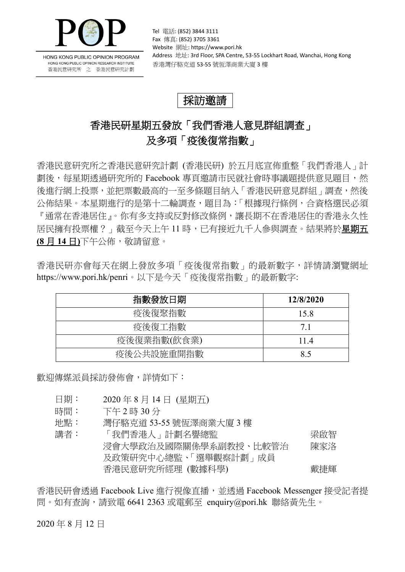

HONG KONG PUBLIC OPINION PROGRAM HONG KONG PUBLIC OPINION RESEARCH INSTITUTE 香港民意研究所 之 香港民意研究計劃

Tel 電話: (852) 3844 3111 Fax 傳真: (852) 3705 3361 Website 網址: https://www.pori.hk Address 地址: 3rd Floor, SPA Centre, 53-55 Lockhart Road, Wanchai, Hong Kong 香港灣仔駱克道 53-55 號恆澤商業大廈 3 樓

## 採訪邀請

## 香港民研星期五發放「我們香港人意見群組調查」 及多項「疫後復常指數」

香港民意研究所之香港民意研究計劃 (香港民研) 於五月底宣佈重整「我們香港人」計 劃後,每星期透過研究所的 Facebook 專頁邀請市民就社會時事議題提供意見題目,然 後進行網上投票,並把票數最高的一至多條題目納入「香港民研意見群組」調査,然後 公佈結果。本星期進行的是第十二輪調査,題目為:「根據現行條例,合資格選民必須 『通常在香港居住』。你有多支持或反對修改條例,讓長期不在香港居住的香港永久性 居民擁有投票權?」截至今天上午11時,已有接近九千人參與調查。結果將於星期五 **(8** 月 **14** 日**)**下午公佈,敬請留意。

香港民研亦會每天在網上發放多項「疫後復常指數」的最新數字,詳情請瀏覽網址 <https://www.pori.hk/penri>。以下是今天「疫後復常指數」的最新數字:

| 指數發放日期      | 12/8/2020 |
|-------------|-----------|
| 疫後復聚指數      | 15.8      |
| 疫後復工指數      | 7.1       |
| 疫後復業指數(飲食業) | 114       |
| 疫後公共設施重開指數  | 85        |

歡迎傳媒派員採訪發佈會,詳情如下:

- 日期: 2020 年 8 月 14 日 (星期五)
- 時間: 下午 2 時 30 分
- 地點: 灣仔駱克道 53-55 號恆澤商業大廈 3 樓

講者: 「我們香港人」計劃名譽總監 アンチン アンスタン 深啟智 浸會大學政治及國際關係學系副教授、比較管治 及政策研究中心總監、「選舉觀察計劃」成員 陳家洛 香港民意研究所經理 (數據科學) 戴捷輝

香港民研會透過 Facebook Live 進行視像直播,並透過 Facebook Messenger 接受記者提 問。如有查詢,請致電 6641 2363 或電郵至 enquiry@pori.hk 聯絡黃先生。

2020 年 8 月 12 日